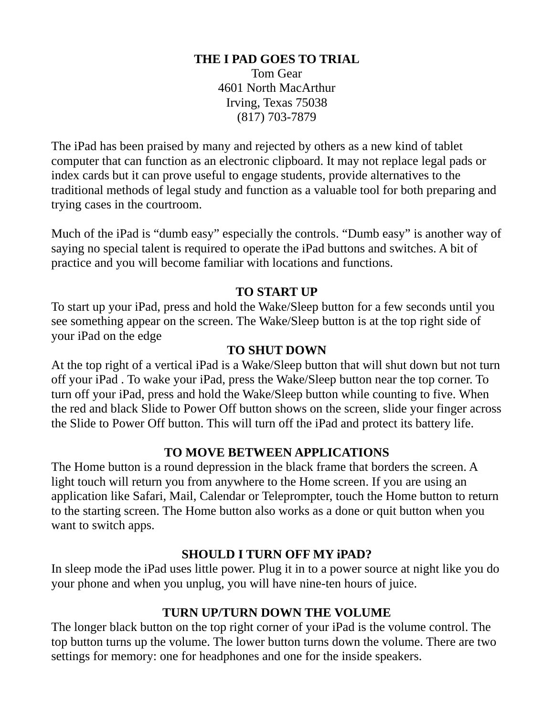#### **THE I PAD GOES TO TRIAL**

Tom Gear 4601 North MacArthur Irving, Texas 75038 (817) 703-7879

The iPad has been praised by many and rejected by others as a new kind of tablet computer that can function as an electronic clipboard. It may not replace legal pads or index cards but it can prove useful to engage students, provide alternatives to the traditional methods of legal study and function as a valuable tool for both preparing and trying cases in the courtroom.

Much of the iPad is "dumb easy" especially the controls. "Dumb easy" is another way of saying no special talent is required to operate the iPad buttons and switches. A bit of practice and you will become familiar with locations and functions.

#### **TO START UP**

To start up your iPad, press and hold the Wake/Sleep button for a few seconds until you see something appear on the screen. The Wake/Sleep button is at the top right side of your iPad on the edge

#### **TO SHUT DOWN**

At the top right of a vertical iPad is a Wake/Sleep button that will shut down but not turn off your iPad . To wake your iPad, press the Wake/Sleep button near the top corner. To turn off your iPad, press and hold the Wake/Sleep button while counting to five. When the red and black Slide to Power Off button shows on the screen, slide your finger across the Slide to Power Off button. This will turn off the iPad and protect its battery life.

#### **TO MOVE BETWEEN APPLICATIONS**

The Home button is a round depression in the black frame that borders the screen. A light touch will return you from anywhere to the Home screen. If you are using an application like Safari, Mail, Calendar or Teleprompter, touch the Home button to return to the starting screen. The Home button also works as a done or quit button when you want to switch apps.

#### **SHOULD I TURN OFF MY iPAD?**

In sleep mode the iPad uses little power. Plug it in to a power source at night like you do your phone and when you unplug, you will have nine-ten hours of juice.

#### **TURN UP/TURN DOWN THE VOLUME**

The longer black button on the top right corner of your iPad is the volume control. The top button turns up the volume. The lower button turns down the volume. There are two settings for memory: one for headphones and one for the inside speakers.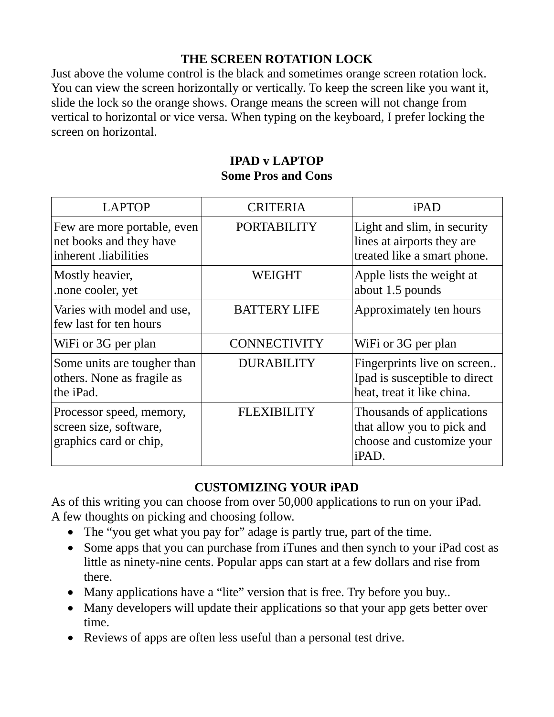# **THE SCREEN ROTATION LOCK**

Just above the volume control is the black and sometimes orange screen rotation lock. You can view the screen horizontally or vertically. To keep the screen like you want it, slide the lock so the orange shows. Orange means the screen will not change from vertical to horizontal or vice versa. When typing on the keyboard, I prefer locking the screen on horizontal.

## **IPAD v LAPTOP Some Pros and Cons**

| <b>LAPTOP</b>                                                                   | <b>CRITERIA</b>     | iPAD                                                                                          |
|---------------------------------------------------------------------------------|---------------------|-----------------------------------------------------------------------------------------------|
| Few are more portable, even<br>net books and they have<br>inherent .liabilities | <b>PORTABILITY</b>  | Light and slim, in security<br>lines at airports they are<br>treated like a smart phone.      |
| Mostly heavier,<br>.none cooler, yet                                            | <b>WEIGHT</b>       | Apple lists the weight at<br>about 1.5 pounds                                                 |
| Varies with model and use,<br>few last for ten hours                            | <b>BATTERY LIFE</b> | Approximately ten hours                                                                       |
| WiFi or 3G per plan                                                             | <b>CONNECTIVITY</b> | WiFi or 3G per plan                                                                           |
| Some units are tougher than<br>others. None as fragile as<br>the iPad.          | <b>DURABILITY</b>   | Fingerprints live on screen<br>Ipad is susceptible to direct<br>heat, treat it like china.    |
| Processor speed, memory,<br>screen size, software,<br>graphics card or chip,    | <b>FLEXIBILITY</b>  | Thousands of applications<br>that allow you to pick and<br>choose and customize your<br>iPAD. |

# **CUSTOMIZING YOUR iPAD**

As of this writing you can choose from over 50,000 applications to run on your iPad. A few thoughts on picking and choosing follow.

- The "you get what you pay for" adage is partly true, part of the time.
- Some apps that you can purchase from iTunes and then synch to your iPad cost as little as ninety-nine cents. Popular apps can start at a few dollars and rise from there.
- Many applications have a "lite" version that is free. Try before you buy..
- Many developers will update their applications so that your app gets better over time.
- Reviews of apps are often less useful than a personal test drive.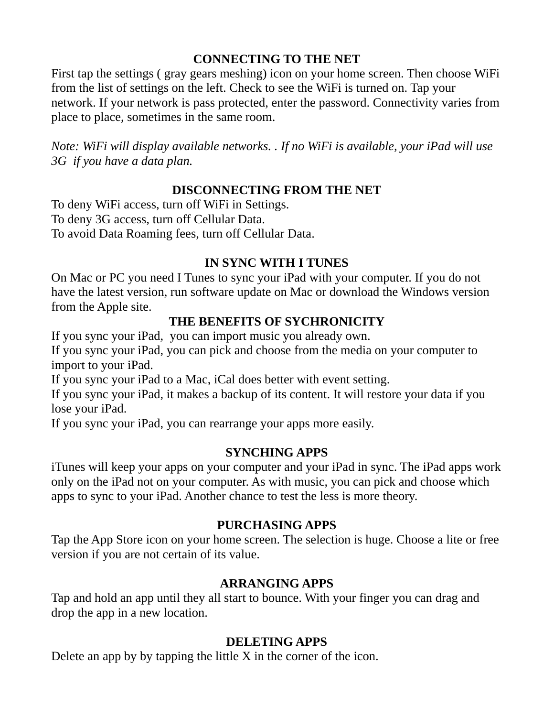# **CONNECTING TO THE NET**

First tap the settings ( gray gears meshing) icon on your home screen. Then choose WiFi from the list of settings on the left. Check to see the WiFi is turned on. Tap your network. If your network is pass protected, enter the password. Connectivity varies from place to place, sometimes in the same room.

*Note: WiFi will display available networks. . If no WiFi is available, your iPad will use 3G if you have a data plan.* 

## **DISCONNECTING FROM THE NET**

To deny WiFi access, turn off WiFi in Settings. To deny 3G access, turn off Cellular Data. To avoid Data Roaming fees, turn off Cellular Data.

## **IN SYNC WITH I TUNES**

On Mac or PC you need I Tunes to sync your iPad with your computer. If you do not have the latest version, run software update on Mac or download the Windows version from the Apple site.

## **THE BENEFITS OF SYCHRONICITY**

If you sync your iPad, you can import music you already own.

If you sync your iPad, you can pick and choose from the media on your computer to import to your iPad.

If you sync your iPad to a Mac, iCal does better with event setting.

If you sync your iPad, it makes a backup of its content. It will restore your data if you lose your iPad.

If you sync your iPad, you can rearrange your apps more easily.

# **SYNCHING APPS**

iTunes will keep your apps on your computer and your iPad in sync. The iPad apps work only on the iPad not on your computer. As with music, you can pick and choose which apps to sync to your iPad. Another chance to test the less is more theory.

## **PURCHASING APPS**

Tap the App Store icon on your home screen. The selection is huge. Choose a lite or free version if you are not certain of its value.

## **ARRANGING APPS**

Tap and hold an app until they all start to bounce. With your finger you can drag and drop the app in a new location.

## **DELETING APPS**

Delete an app by by tapping the little X in the corner of the icon.